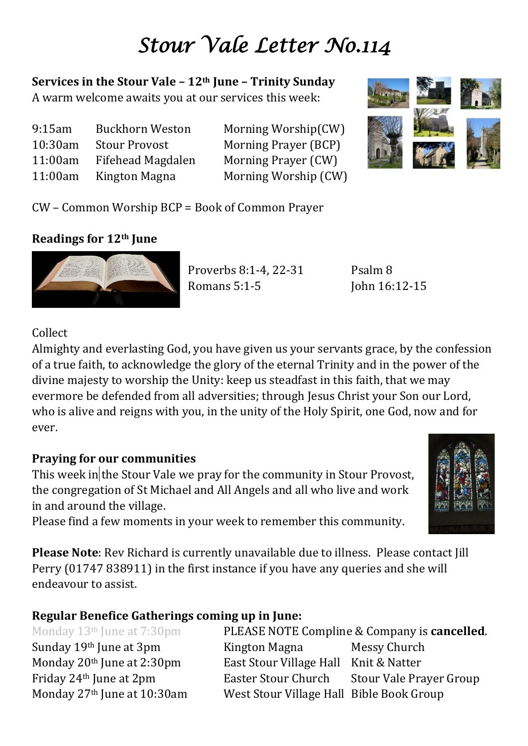# *Stour Vale Letter No.114*

**Services in the Stour Vale – 12th June – Trinity Sunday** A warm welcome awaits you at our services this week:

| 9:15am  | <b>Buckhorn Weston</b> |
|---------|------------------------|
| 10:30am | <b>Stour Provost</b>   |
| 11:00am | Fifehead Magdalen      |
| 11:00am | Kington Magna          |

Morning Worship(CW) Morning Prayer (BCP) Morning Prayer (CW) Morning Worship (CW)



CW – Common Worship BCP = Book of Common Prayer

# **Readings for 12th June**



Proverbs 8:1-4, 22-31 Psalm 8 Romans 5:1-5 **John 16:12-15** 

# Collect

Almighty and everlasting God, you have given us your servants grace, by the confession of a true faith, to acknowledge the glory of the eternal Trinity and in the power of the divine majesty to worship the Unity: keep us steadfast in this faith, that we may evermore be defended from all adversities; through Jesus Christ your Son our Lord, who is alive and reigns with you, in the unity of the Holy Spirit, one God, now and for ever.

# **Praying for our communities**

This week in the Stour Vale we pray for the community in Stour Provost, the congregation of St Michael and All Angels and all who live and work in and around the village.

Please find a few moments in your week to remember this community.

**Please Note**: Rev Richard is currently unavailable due to illness. Please contact Jill Perry (01747 838911) in the first instance if you have any queries and she will endeavour to assist.

# **Regular Benefice Gatherings coming up in June:**

Monday 13th June at 7:30pm PLEASE NOTE Compline & Company is **cancelled**. Sunday 19<sup>th</sup> June at 3pm Kington Magna Messy Church Monday 20<sup>th</sup> June at 2:30pm East Stour Village Hall Knit & Natter Friday 24th June at 2pm Easter Stour Church Stour Vale Prayer Group Monday 27<sup>th</sup> June at 10:30am West Stour Village Hall Bible Book Group

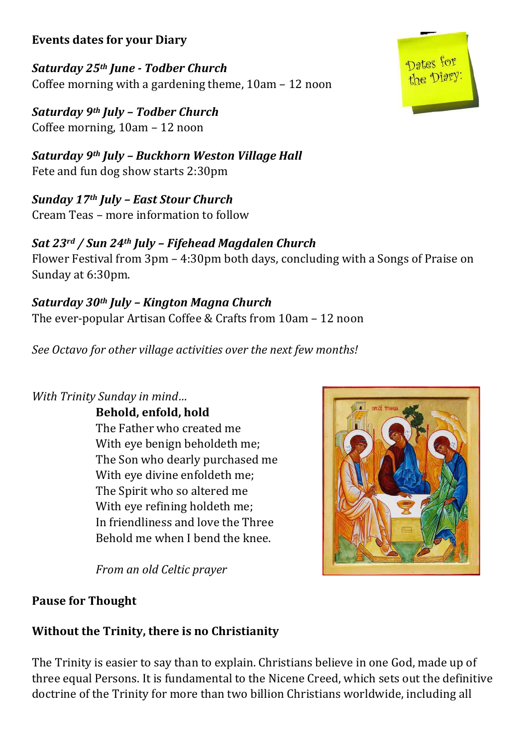## **Events dates for your Diary**

*Saturday 25th June - Todber Church* Coffee morning with a gardening theme, 10am – 12 noon

*Saturday 9th July – Todber Church*  Coffee morning, 10am – 12 noon

*Saturday 9th July – Buckhorn Weston Village Hall* Fete and fun dog show starts 2:30pm

*Sunday 17th July – East Stour Church* Cream Teas – more information to follow

# *Sat 23rd / Sun 24th July – Fifehead Magdalen Church*

Flower Festival from 3pm – 4:30pm both days, concluding with a Songs of Praise on Sunday at 6:30pm.

*Saturday 30th July – Kington Magna Church* The ever-popular Artisan Coffee & Crafts from 10am – 12 noon

*See Octavo for other village activities over the next few months!*

## *With Trinity Sunday in mind…*

**Behold, enfold, hold** The Father who created me With eye benign beholdeth me; The Son who dearly purchased me With eye divine enfoldeth me; The Spirit who so altered me With eye refining holdeth me; In friendliness and love the Three Behold me when I bend the knee.

*From an old Celtic prayer* 



#### **Pause for Thought**

# **Without the Trinity, there is no Christianity**

The Trinity is easier to say than to explain. Christians believe in one God, made up of three equal Persons. It is fundamental to the Nicene Creed, which sets out the definitive doctrine of the Trinity for more than two billion Christians worldwide, including all

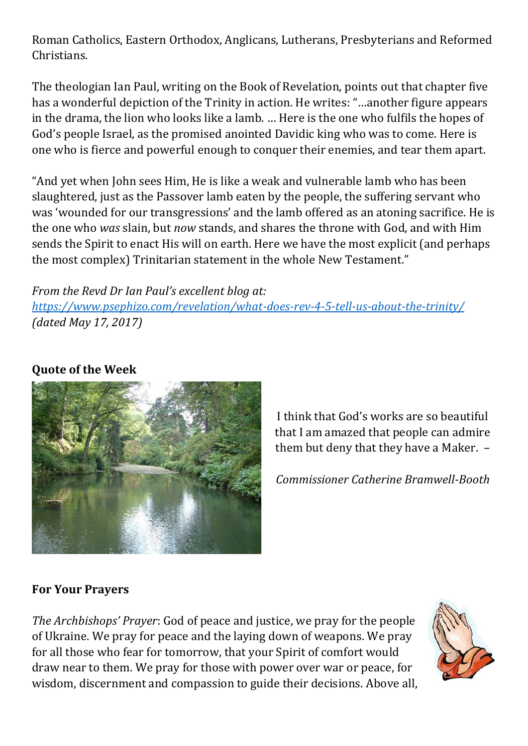Roman Catholics, Eastern Orthodox, Anglicans, Lutherans, Presbyterians and Reformed Christians.

The theologian Ian Paul, writing on the Book of Revelation, points out that chapter five has a wonderful depiction of the Trinity in action. He writes: "…another figure appears in the drama, the lion who looks like a lamb. … Here is the one who fulfils the hopes of God's people Israel, as the promised anointed Davidic king who was to come. Here is one who is fierce and powerful enough to conquer their enemies, and tear them apart.

"And yet when John sees Him, He is like a weak and vulnerable lamb who has been slaughtered, just as the Passover lamb eaten by the people, the suffering servant who was 'wounded for our transgressions' and the lamb offered as an atoning sacrifice. He is the one who *was* slain, but *now* stands, and shares the throne with God, and with Him sends the Spirit to enact His will on earth. Here we have the most explicit (and perhaps the most complex) Trinitarian statement in the whole New Testament."

## *From the Revd Dr Ian Paul's excellent blog at:*

*<https://www.psephizo.com/revelation/what-does-rev-4-5-tell-us-about-the-trinity/> (dated May 17, 2017)*

# **Quote of the Week**



I think that God's works are so beautiful that I am amazed that people can admire them but deny that they have a Maker. –

*Commissioner Catherine Bramwell-Booth*

# **For Your Prayers**

*The Archbishops' Prayer*: God of peace and justice, we pray for the people of Ukraine. We pray for peace and the laying down of weapons. We pray for all those who fear for tomorrow, that your Spirit of comfort would draw near to them. We pray for those with power over war or peace, for wisdom, discernment and compassion to guide their decisions. Above all,